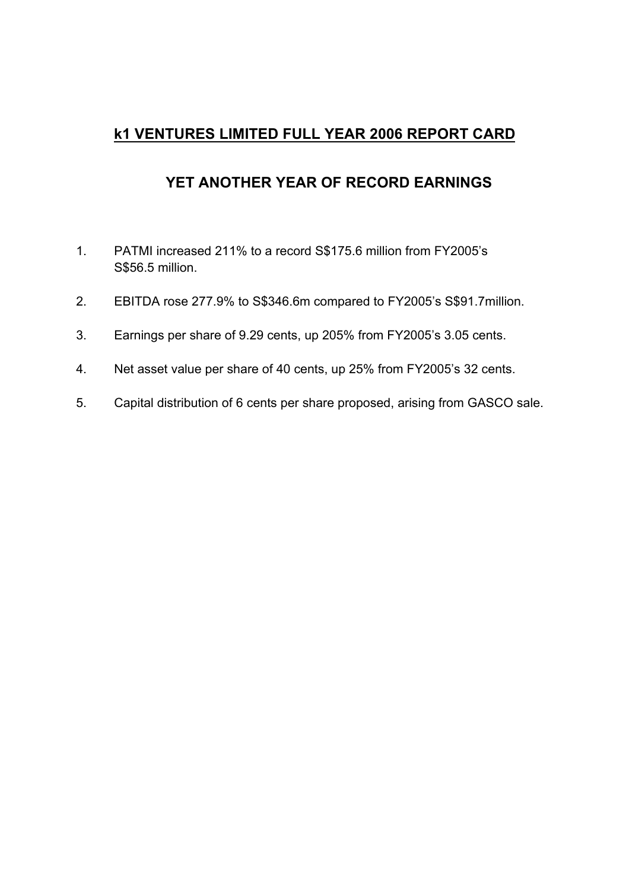# **k1 VENTURES LIMITED FULL YEAR 2006 REPORT CARD**

# **YET ANOTHER YEAR OF RECORD EARNINGS**

- 1. PATMI increased 211% to a record S\$175.6 million from FY2005's S\$56.5 million.
- 2. EBITDA rose 277.9% to S\$346.6m compared to FY2005's S\$91.7million.
- 3. Earnings per share of 9.29 cents, up 205% from FY2005's 3.05 cents.
- 4. Net asset value per share of 40 cents, up 25% from FY2005's 32 cents.
- 5. Capital distribution of 6 cents per share proposed, arising from GASCO sale.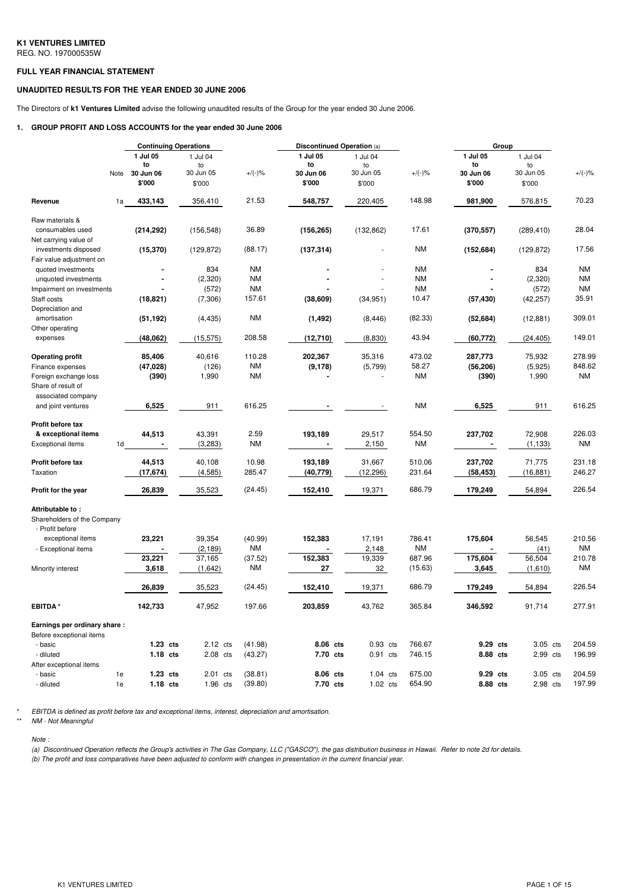#### **FULL YEAR FINANCIAL STATEMENT**

### **UNAUDITED RESULTS FOR THE YEAR ENDED 30 JUNE 2006**

The Directors of **k1 Ventures Limited** advise the following unaudited results of the Group for the year ended 30 June 2006.

#### **1. GROUP PROFIT AND LOSS ACCOUNTS for the year ended 30 June 2006**

|                              |    | <b>Continuing Operations</b> |                    |                      | <b>Discontinued Operation (a)</b> |                          |                     | Group      |                |                     |
|------------------------------|----|------------------------------|--------------------|----------------------|-----------------------------------|--------------------------|---------------------|------------|----------------|---------------------|
|                              |    | 1 Jul 05                     | 1 Jul 04           |                      | 1 Jul 05                          | 1 Jul 04                 |                     | 1 Jul 05   | 1 Jul 04       |                     |
|                              |    | to                           | to                 |                      | to                                | to                       |                     | to         | to             |                     |
|                              |    | Note 30 Jun 06               | 30 Jun 05          | $+/(-)\%$            | 30 Jun 06                         | 30 Jun 05                | $+/(-)$ %           | 30 Jun 06  | 30 Jun 05      | $+/(-)$ %           |
|                              |    | \$'000                       | \$'000             |                      | \$'000                            | \$'000                   |                     | \$'000     | \$'000         |                     |
| Revenue                      | 1a | 433,143                      | 356,410            | 21.53                | 548,757                           | 220,405                  | 148.98              | 981,900    | 576,815        | 70.23               |
| Raw materials &              |    |                              |                    |                      |                                   |                          |                     |            |                |                     |
| consumables used             |    | (214, 292)                   | (156, 548)         | 36.89                | (156, 265)                        | (132, 862)               | 17.61               | (370, 557) | (289, 410)     | 28.04               |
| Net carrying value of        |    |                              |                    |                      |                                   |                          |                     |            |                |                     |
| investments disposed         |    | (15, 370)                    | (129, 872)         | (88.17)              | (137, 314)                        |                          | <b>NM</b>           | (152, 684) | (129, 872)     | 17.56               |
| Fair value adjustment on     |    |                              |                    |                      |                                   |                          |                     |            |                |                     |
| quoted investments           |    |                              | 834                | <b>NM</b>            |                                   |                          | <b>NM</b>           |            | 834            | <b>NM</b>           |
| unquoted investments         |    |                              | (2,320)            | <b>NM</b>            |                                   |                          | <b>NM</b>           |            | (2,320)        | <b>NM</b>           |
| Impairment on investments    |    |                              | (572)              | <b>NM</b>            |                                   |                          | <b>NM</b>           |            | (572)          | <b>NM</b>           |
| Staff costs                  |    | (18, 821)                    | (7, 306)           | 157.61               | (38, 609)                         | (34, 951)                | 10.47               | (57, 430)  | (42, 257)      | 35.91               |
| Depreciation and             |    |                              |                    |                      |                                   |                          |                     |            |                |                     |
| amortisation                 |    | (51, 192)                    | (4, 435)           | <b>NM</b>            | (1, 492)                          | (8, 446)                 | (82.33)             | (52, 684)  | (12, 881)      | 309.01              |
| Other operating              |    |                              |                    |                      |                                   |                          |                     |            |                |                     |
| expenses                     |    | (48,062)                     | (15, 575)          | 208.58               | (12, 710)                         | (8,830)                  | 43.94               | (60, 772)  | (24, 405)      | 149.01              |
| <b>Operating profit</b>      |    | 85,406                       | 40,616             | 110.28               | 202,367                           | 35,316                   | 473.02              | 287,773    | 75,932         | 278.99              |
| Finance expenses             |    | (47, 028)                    | (126)              | <b>NM</b>            | (9, 178)                          | (5,799)                  | 58.27               | (56, 206)  | (5,925)        | 848.62              |
| Foreign exchange loss        |    | (390)                        | 1,990              | <b>NM</b>            |                                   |                          | <b>NM</b>           | (390)      | 1,990          | <b>NM</b>           |
| Share of result of           |    |                              |                    |                      |                                   |                          |                     |            |                |                     |
| associated company           |    |                              |                    |                      |                                   |                          |                     |            |                |                     |
| and joint ventures           |    | 6,525                        | 911                | 616.25               |                                   | $\overline{\phantom{a}}$ | <b>NM</b>           | 6,525      | 911            | 616.25              |
|                              |    |                              |                    |                      |                                   |                          |                     |            |                |                     |
| Profit before tax            |    |                              |                    |                      |                                   |                          |                     |            |                |                     |
| & exceptional items          |    | 44,513                       | 43,391             | 2.59                 | 193,189                           | 29,517                   | 554.50              | 237,702    | 72,908         | 226.03              |
| <b>Exceptional items</b>     | 1d |                              | (3,283)            | NM                   |                                   | 2,150                    | <b>NM</b>           |            | (1, 133)       | <b>NM</b>           |
| Profit before tax            |    | 44,513                       | 40,108             | 10.98                | 193,189                           | 31,667                   | 510.06              | 237,702    | 71,775         | 231.18              |
| Taxation                     |    | (17, 674)                    | (4, 585)           | 285.47               | (40, 779)                         | (12, 296)                | 231.64              | (58, 453)  | (16, 881)      | 246.27              |
|                              |    |                              |                    |                      |                                   |                          |                     |            |                |                     |
| Profit for the year          |    | 26,839                       | 35,523             | (24.45)              | 152,410                           | 19,371                   | 686.79              | 179,249    | 54,894         | 226.54              |
| Attributable to:             |    |                              |                    |                      |                                   |                          |                     |            |                |                     |
| Shareholders of the Company  |    |                              |                    |                      |                                   |                          |                     |            |                |                     |
| - Profit before              |    |                              |                    |                      |                                   |                          |                     |            |                |                     |
| exceptional items            |    | 23,221                       | 39,354             | (40.99)              | 152,383                           | 17,191                   | 786.41              | 175,604    | 56,545         | 210.56              |
| - Exceptional items          |    | 23,221                       | (2, 189)<br>37,165 | <b>NM</b><br>(37.52) | 152,383                           | 2,148<br>19,339          | <b>NM</b><br>687.96 | 175,604    | (41)<br>56,504 | <b>NM</b><br>210.78 |
|                              |    |                              |                    |                      |                                   |                          |                     |            |                | <b>NM</b>           |
| Minority interest            |    | 3,618                        | (1,642)            | ΝM                   | 27                                | 32                       | (15.63)             | 3,645      | (1,610)        |                     |
|                              |    | 26,839                       | 35,523             | (24.45)              | 152,410                           | 19,371                   | 686.79              | 179,249    | 54,894         | 226.54              |
| <b>EBITDA*</b>               |    | 142,733                      | 47,952             | 197.66               | 203,859                           | 43,762                   | 365.84              | 346,592    | 91,714         | 277.91              |
| Earnings per ordinary share: |    |                              |                    |                      |                                   |                          |                     |            |                |                     |
| Before exceptional items     |    |                              |                    |                      |                                   |                          |                     |            |                |                     |
| - basic                      |    | $1.23$ cts                   | 2.12 cts           | (41.98)              | 8.06 cts                          | 0.93 cts                 | 766.67              | 9.29 cts   | 3.05 cts       | 204.59              |
| - diluted                    |    | $1.18$ cts                   | $2.08$ cts         | (43.27)              | 7.70 cts                          | $0.91$ cts               | 746.15              | 8.88 cts   | 2.99 cts       | 196.99              |
| After exceptional items      |    |                              |                    |                      |                                   |                          |                     |            |                |                     |
| - basic                      | 1e | $1.23$ cts                   | 2.01 cts           | (38.81)              | 8.06 cts                          | $1.04$ cts               | 675.00              | 9.29 cts   | 3.05 cts       | 204.59              |
| - diluted                    | 1e | $1.18$ cts                   | 1.96 cts           | (39.80)              | 7.70 cts                          | $1.02$ cts               | 654.90              | 8.88 cts   | 2.98 cts       | 197.99              |

\* *EBITDA is defined as profit before tax and exceptional items, interest, depreciation and amortisation.*

*Note :*

(a) Discontinued Operation reflects the Group's activities in The Gas Company, LLC ("GASCO"), the gas distribution business in Hawaii. Refer to note 2d for details. (b) The profit and loss comparatives have been adjusted to conform with changes in presentation in the current financial year.

<sup>\*\*</sup> *NM - Not Meaningful*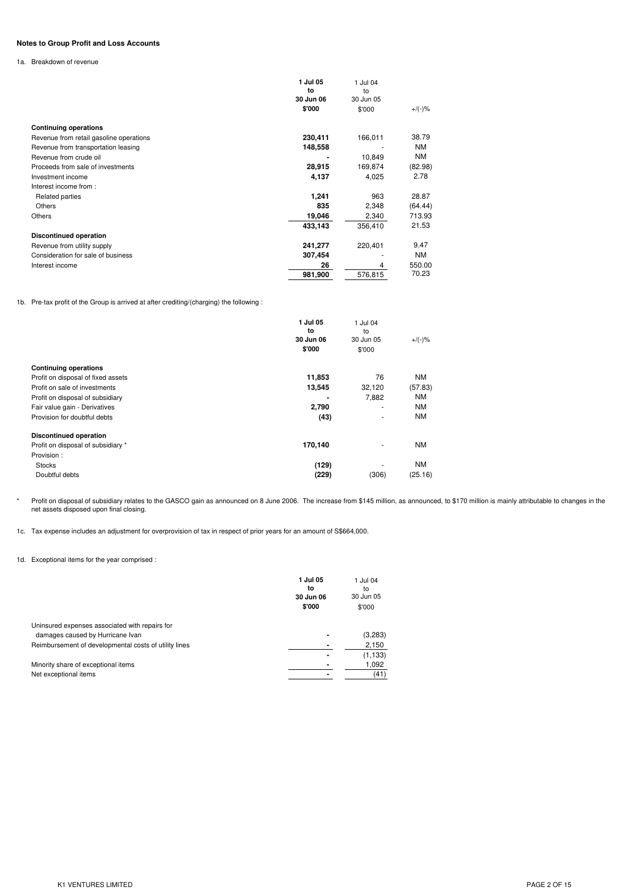# **Notes to Group Profit and Loss Accounts**

1a. Breakdown of revenue

|                                         | 1 Jul 05<br>to<br>30 Jun 06 | 1 Jul 04<br>to<br>30 Jun 05 |           |
|-----------------------------------------|-----------------------------|-----------------------------|-----------|
|                                         | \$'000                      | \$'000                      | $+/(-)$ % |
| <b>Continuing operations</b>            |                             |                             |           |
| Revenue from retail gasoline operations | 230,411                     | 166,011                     | 38.79     |
| Revenue from transportation leasing     | 148,558                     |                             | <b>NM</b> |
| Revenue from crude oil                  |                             | 10,849                      | ΝM        |
| Proceeds from sale of investments       | 28,915                      | 169,874                     | (82.98)   |
| Investment income                       | 4,137                       | 4,025                       | 2.78      |
| Interest income from:                   |                             |                             |           |
| Related parties                         | 1,241                       | 963                         | 28.87     |
| <b>Others</b>                           | 835                         | 2,348                       | (64.44)   |
| Others                                  | 19,046                      | 2,340                       | 713.93    |
|                                         | 433,143                     | 356,410                     | 21.53     |
| <b>Discontinued operation</b>           |                             |                             |           |
| Revenue from utility supply             | 241,277                     | 220,401                     | 9.47      |
| Consideration for sale of business      | 307,454                     |                             | <b>NM</b> |
| Interest income                         | 26                          | 4                           | 550.00    |
|                                         | 981,900                     | 576,815                     | 70.23     |

1b. Pre-tax profit of the Group is arrived at after crediting/(charging) the following :

|                                    | 1 Jul 05<br>to<br>30 Jun 06<br>\$'000 | 1 Jul 04<br>to<br>30 Jun 05<br>\$'000 | $+/(-)$ % |
|------------------------------------|---------------------------------------|---------------------------------------|-----------|
| <b>Continuing operations</b>       |                                       |                                       |           |
| Profit on disposal of fixed assets | 11,853                                | 76                                    | <b>NM</b> |
| Profit on sale of investments      | 13,545                                | 32,120                                | (57.83)   |
| Profit on disposal of subsidiary   |                                       | 7,882                                 | <b>NM</b> |
| Fair value gain - Derivatives      | 2,790                                 | ٠                                     | <b>NM</b> |
| Provision for doubtful debts       | (43)                                  | ٠                                     | <b>NM</b> |
| <b>Discontinued operation</b>      |                                       |                                       |           |
| Profit on disposal of subsidiary * | 170,140                               | ۰                                     | <b>NM</b> |
| Provision:                         |                                       |                                       |           |
| <b>Stocks</b>                      | (129)                                 | ٠                                     | <b>NM</b> |
| Doubtful debts                     | (229)                                 | (306)                                 | (25.16)   |

\* Profit on disposal of subsidiary relates to the GASCO gain as announced on 8 June 2006. The increase from \$145 million, as announced, to \$170 million is mainly attributable to changes in the net assets disposed upon final closing.

1c. Tax expense includes an adjustment for overprovision of tax in respect of prior years for an amount of S\$664,000.

## 1d. Exceptional items for the year comprised :

|                                                       | 1 Jul 05<br>to<br>30 Jun 06<br>\$'000 | 1 Jul 04<br>to<br>30 Jun 05<br>\$'000 |
|-------------------------------------------------------|---------------------------------------|---------------------------------------|
| Uninsured expenses associated with repairs for        |                                       |                                       |
| damages caused by Hurricane Ivan                      |                                       | (3,283)                               |
| Reimbursement of developmental costs of utility lines |                                       | 2,150                                 |
|                                                       |                                       | (1, 133)                              |
| Minority share of exceptional items                   |                                       | 1,092                                 |
| Net exceptional items                                 |                                       | (41)                                  |
|                                                       |                                       |                                       |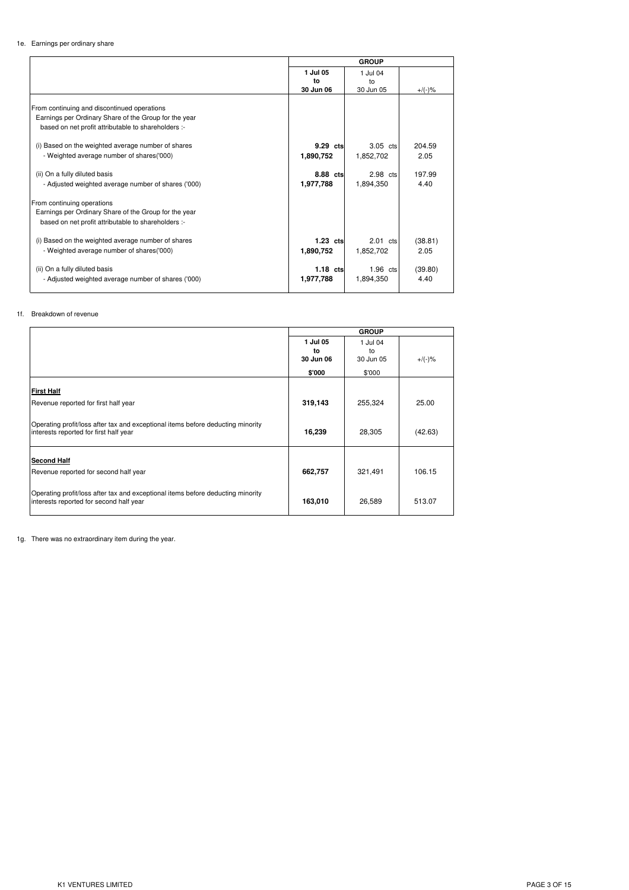#### 1e. Earnings per ordinary share

|                                                       |                | <b>GROUP</b>   |           |
|-------------------------------------------------------|----------------|----------------|-----------|
|                                                       | 1 Jul 05<br>to | 1 Jul 04<br>to |           |
|                                                       | 30 Jun 06      | 30 Jun 05      | $+/(-)$ % |
| From continuing and discontinued operations           |                |                |           |
| Earnings per Ordinary Share of the Group for the year |                |                |           |
| based on net profit attributable to shareholders :-   |                |                |           |
| (i) Based on the weighted average number of shares    | 9.29 cts       | 3.05 cts       | 204.59    |
| - Weighted average number of shares('000)             | 1,890,752      | 1,852,702      | 2.05      |
| (ii) On a fully diluted basis                         | 8.88 cts       | 2.98 cts       | 197.99    |
| - Adjusted weighted average number of shares ('000)   | 1,977,788      | 1,894,350      | 4.40      |
| From continuing operations                            |                |                |           |
| Earnings per Ordinary Share of the Group for the year |                |                |           |
| based on net profit attributable to shareholders :-   |                |                |           |
| (i) Based on the weighted average number of shares    | 1.23 cts       | 2.01 cts       | (38.81)   |
| - Weighted average number of shares('000)             | 1,890,752      | 1,852,702      | 2.05      |
| (ii) On a fully diluted basis                         | $1.18$ cts     | $1.96$ cts     | (39.80)   |
| - Adjusted weighted average number of shares ('000)   | 1,977,788      | 1.894.350      | 4.40      |
|                                                       |                |                |           |

#### 1f. Breakdown of revenue

|                                                                                                                            |                             | <b>GROUP</b>                |           |
|----------------------------------------------------------------------------------------------------------------------------|-----------------------------|-----------------------------|-----------|
|                                                                                                                            | 1 Jul 05<br>to<br>30 Jun 06 | 1 Jul 04<br>to<br>30 Jun 05 | $+/(-)$ % |
|                                                                                                                            | \$'000                      | \$'000                      |           |
| <b>First Half</b><br>Revenue reported for first half year                                                                  | 319,143                     | 255,324                     | 25.00     |
| Operating profit/loss after tax and exceptional items before deducting minority<br>interests reported for first half year  | 16,239                      | 28,305                      | (42.63)   |
| <b>Second Half</b><br>Revenue reported for second half year                                                                | 662,757                     | 321,491                     | 106.15    |
| Operating profit/loss after tax and exceptional items before deducting minority<br>interests reported for second half year | 163,010                     | 26,589                      | 513.07    |

1g. There was no extraordinary item during the year.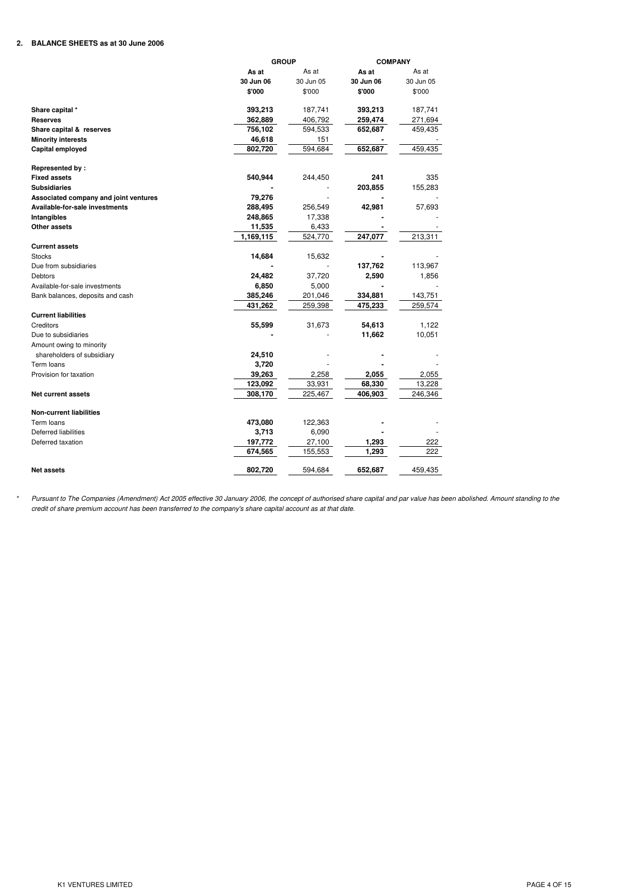# **2. BALANCE SHEETS as at 30 June 2006**

|                                       | <b>GROUP</b> |           |           | <b>COMPANY</b> |  |
|---------------------------------------|--------------|-----------|-----------|----------------|--|
|                                       | As at        | As at     | As at     | As at          |  |
|                                       | 30 Jun 06    | 30 Jun 05 | 30 Jun 06 | 30 Jun 05      |  |
|                                       | \$'000       | \$'000    | \$'000    | \$'000         |  |
| Share capital *                       | 393,213      | 187,741   | 393,213   | 187,741        |  |
| <b>Reserves</b>                       | 362,889      | 406,792   | 259,474   | 271,694        |  |
| Share capital & reserves              | 756,102      | 594,533   | 652,687   | 459,435        |  |
| <b>Minority interests</b>             | 46,618       | 151       |           |                |  |
| Capital employed                      | 802,720      | 594,684   | 652,687   | 459,435        |  |
| Represented by:                       |              |           |           |                |  |
| <b>Fixed assets</b>                   | 540,944      | 244,450   | 241       | 335            |  |
| <b>Subsidiaries</b>                   |              |           | 203,855   | 155,283        |  |
| Associated company and joint ventures | 79,276       |           |           |                |  |
| Available-for-sale investments        | 288,495      | 256,549   | 42,981    | 57,693         |  |
| Intangibles                           | 248,865      | 17,338    |           |                |  |
| Other assets                          | 11,535       | 6,433     |           |                |  |
|                                       | 1,169,115    | 524,770   | 247,077   | 213,311        |  |
| <b>Current assets</b>                 |              |           |           |                |  |
| <b>Stocks</b>                         | 14,684       | 15,632    |           |                |  |
| Due from subsidiaries                 |              |           | 137,762   | 113,967        |  |
| Debtors                               | 24,482       | 37,720    | 2,590     | 1,856          |  |
| Available-for-sale investments        | 6,850        | 5,000     |           |                |  |
| Bank balances, deposits and cash      | 385,246      | 201,046   | 334,881   | 143,751        |  |
|                                       | 431.262      | 259,398   | 475,233   | 259,574        |  |
| <b>Current liabilities</b>            |              |           |           |                |  |
| Creditors                             | 55,599       | 31,673    | 54,613    | 1,122          |  |
| Due to subsidiaries                   |              |           | 11,662    | 10,051         |  |
| Amount owing to minority              |              |           |           |                |  |
| shareholders of subsidiary            | 24,510       |           |           |                |  |
| Term loans                            | 3,720        |           |           |                |  |
| Provision for taxation                | 39,263       | 2,258     | 2,055     | 2,055          |  |
|                                       | 123,092      | 33,931    | 68,330    | 13,228         |  |
| <b>Net current assets</b>             | 308,170      | 225,467   | 406,903   | 246,346        |  |
| <b>Non-current liabilities</b>        |              |           |           |                |  |
| Term loans                            | 473,080      | 122,363   |           |                |  |
| Deferred liabilities                  | 3,713        | 6,090     |           |                |  |
| Deferred taxation                     | 197,772      | 27,100    | 1,293     | 222            |  |
|                                       | 674,565      | 155,553   | 1,293     | 222            |  |
| <b>Net assets</b>                     | 802,720      | 594.684   | 652,687   | 459,435        |  |

credit of share premium account has been transferred to the company's share capital account as at that date. Pursuant to The Companies (Amendment) Act 2005 effective 30 January 2006, the concept of authorised share capital and par value has been abolished. Amount standing to the

\*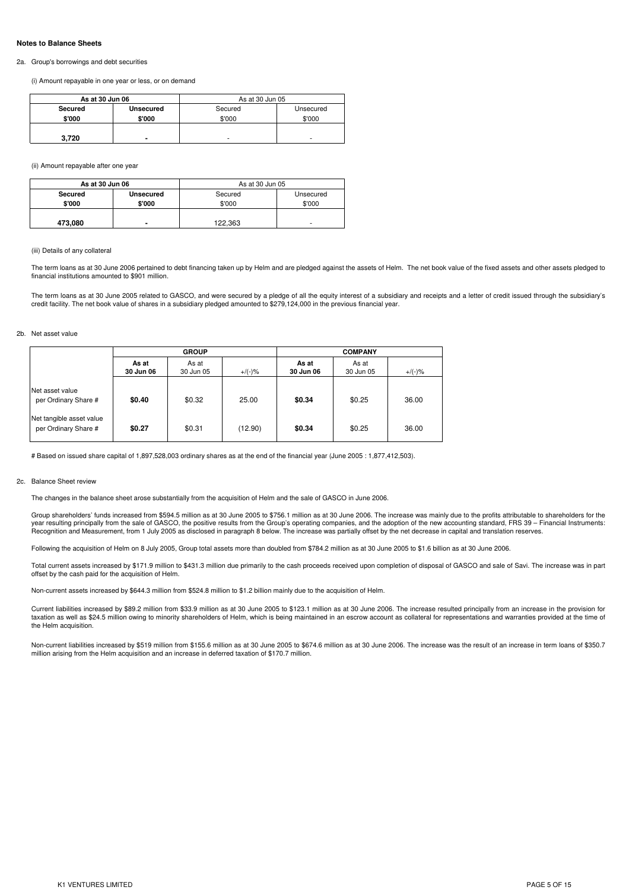#### **Notes to Balance Sheets**

#### 2a. Group's borrowings and debt securities

(i) Amount repayable in one year or less, or on demand

| As at 30 Jun 06 |           | As at 30 Jun 05          |           |
|-----------------|-----------|--------------------------|-----------|
| Secured         | Unsecured | Secured                  | Unsecured |
| \$'000          | \$'000    | \$'000                   | \$'000    |
| 3,720           | -         | $\overline{\phantom{a}}$ | -         |

(ii) Amount repayable after one year

| As at 30 Jun 06 |                | As at 30 Jun 05 |           |
|-----------------|----------------|-----------------|-----------|
| Secured         | Unsecured      | Secured         | Unsecured |
| \$'000          | \$'000         | \$'000          | \$'000    |
| 473,080         | $\blacksquare$ | 122,363         | ۰         |

#### (iii) Details of any collateral

The term loans as at 30 June 2006 pertained to debt financing taken up by Helm and are pledged against the assets of Helm. The net book value of the fixed assets and other assets pledged to financial institutions amounted to \$901 million.

The term loans as at 30 June 2005 related to GASCO, and were secured by a pledge of all the equity interest of a subsidiary and receipts and a letter of credit issued through the subsidiary's credit facility. The net book value of shares in a subsidiary pledged amounted to \$279,124,000 in the previous financial year.

#### 2b. Net asset value

|                                                  | <b>GROUP</b>       |                    |           |                    | <b>COMPANY</b>     |           |
|--------------------------------------------------|--------------------|--------------------|-----------|--------------------|--------------------|-----------|
|                                                  | As at<br>30 Jun 06 | As at<br>30 Jun 05 | $+/(-)$ % | As at<br>30 Jun 06 | As at<br>30 Jun 05 | $+/(-)$ % |
| Net asset value<br>per Ordinary Share #          | \$0.40             | \$0.32             | 25.00     | \$0.34             | \$0.25             | 36.00     |
| Net tangible asset value<br>per Ordinary Share # | \$0.27             | \$0.31             | (12.90)   | \$0.34             | \$0.25             | 36.00     |

# Based on issued share capital of 1,897,528,003 ordinary shares as at the end of the financial year (June 2005 : 1,877,412,503).

#### 2c. Balance Sheet review

The changes in the balance sheet arose substantially from the acquisition of Helm and the sale of GASCO in June 2006.

Group shareholders' funds increased from \$594.5 million as at 30 June 2005 to \$756.1 million as at 30 June 2006. The increase was mainly due to the profits attributable to shareholders for the<br>year resulting principally fr

Following the acquisition of Helm on 8 July 2005, Group total assets more than doubled from \$784.2 million as at 30 June 2005 to \$1.6 billion as at 30 June 2006.

Total current assets increased by \$171.9 million to \$431.3 million due primarily to the cash proceeds received upon completion of disposal of GASCO and sale of Savi. The increase was in part offset by the cash paid for the acquisition of Helm.

Non-current assets increased by \$644.3 million from \$524.8 million to \$1.2 billion mainly due to the acquisition of Helm.

Current liabilities increased by \$89.2 million from \$33.9 million as at 30 June 2005 to \$123.1 million as at 30 June 2006. The increase resulted principally from an increase in the provision for taxation as well as \$24.5 million owing to minority shareholders of Helm, which is being maintained in an escrow account as collateral for representations and warranties provided at the time of the Helm acquisition.

Non-current liabilities increased by \$519 million from \$155.6 million as at 30 June 2005 to \$674.6 million as at 30 June 2006. The increase was the result of an increase in term loans of \$350.7 million arising from the Helm acquisition and an increase in deferred taxation of \$170.7 million.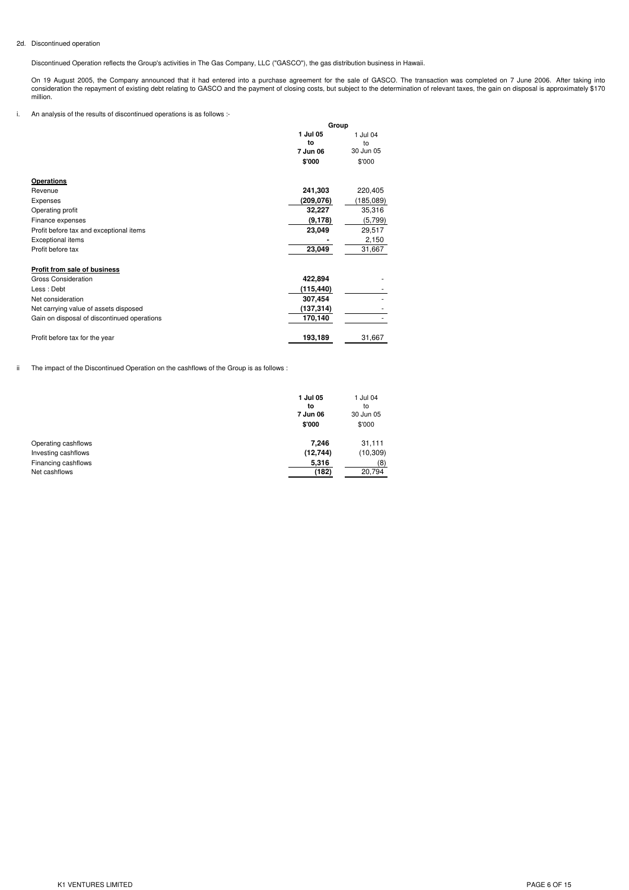# 2d. Discontinued operation

Discontinued Operation reflects the Group's activities in The Gas Company, LLC ("GASCO"), the gas distribution business in Hawaii.

On 19 August 2005, the Company announced that it had entered into a purchase agreement for the sale of GASCO. The transaction was completed on 7 June 2006. After taking into<br>consideration the repayment of existing debt rel million.

i. An analysis of the results of discontinued operations is as follows :-

|                                             | Group          |                |
|---------------------------------------------|----------------|----------------|
|                                             | 1 Jul 05<br>to | 1 Jul 04<br>to |
|                                             | 7 Jun 06       | 30 Jun 05      |
|                                             | \$'000         | \$'000         |
| <b>Operations</b>                           |                |                |
| Revenue                                     | 241,303        | 220,405        |
| Expenses                                    | (209,076)      | (185,089)      |
| Operating profit                            | 32,227         | 35,316         |
| Finance expenses                            | (9, 178)       | (5,799)        |
| Profit before tax and exceptional items     | 23,049         | 29,517         |
| Exceptional items                           |                | 2,150          |
| Profit before tax                           | 23,049         | 31,667         |
| Profit from sale of business                |                |                |
| Gross Consideration                         | 422,894        |                |
| Less: Debt                                  | (115,440)      |                |
| Net consideration                           | 307,454        |                |
| Net carrying value of assets disposed       | (137,314)      |                |
| Gain on disposal of discontinued operations | 170,140        |                |
| Profit before tax for the year              | 193,189        | 31,667         |

ii The impact of the Discontinued Operation on the cashflows of the Group is as follows :

|                     | 1 Jul 05<br>to<br>7 Jun 06<br>\$'000 | 1 Jul 04<br>to<br>30 Jun 05<br>\$'000 |
|---------------------|--------------------------------------|---------------------------------------|
| Operating cashflows | 7.246                                | 31,111                                |
| Investing cashflows | (12, 744)                            | (10, 309)                             |
| Financing cashflows | 5,316                                | (8)                                   |
| Net cashflows       | (182)                                | 20,794                                |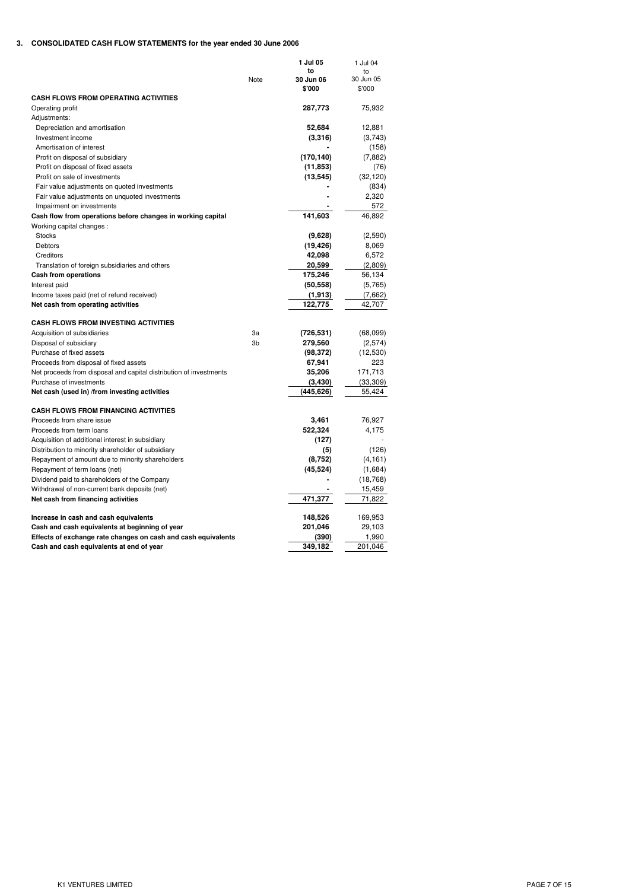# **3. CONSOLIDATED CASH FLOW STATEMENTS for the year ended 30 June 2006**

|                                                                    | Note | 1 Jul 05<br>to<br>30 Jun 06<br>\$'000 | 1 Jul 04<br>to<br>30 Jun 05<br>\$'000 |
|--------------------------------------------------------------------|------|---------------------------------------|---------------------------------------|
| <b>CASH FLOWS FROM OPERATING ACTIVITIES</b>                        |      |                                       |                                       |
| Operating profit                                                   |      | 287,773                               | 75,932                                |
| Adjustments:                                                       |      |                                       |                                       |
| Depreciation and amortisation                                      |      | 52,684                                | 12,881                                |
| Investment income                                                  |      | (3,316)                               | (3,743)                               |
| Amortisation of interest                                           |      |                                       | (158)                                 |
| Profit on disposal of subsidiary                                   |      | (170, 140)                            | (7,882)                               |
| Profit on disposal of fixed assets                                 |      | (11, 853)                             | (76)                                  |
| Profit on sale of investments                                      |      | (13, 545)                             | (32, 120)                             |
| Fair value adjustments on quoted investments                       |      |                                       | (834)                                 |
| Fair value adjustments on unquoted investments                     |      |                                       | 2,320                                 |
| Impairment on investments                                          |      |                                       | 572                                   |
| Cash flow from operations before changes in working capital        |      | 141,603                               | 46,892                                |
| Working capital changes :                                          |      |                                       |                                       |
| <b>Stocks</b>                                                      |      | (9,628)                               | (2,590)                               |
| Debtors                                                            |      | (19, 426)                             | 8,069                                 |
| Creditors                                                          |      | 42,098                                | 6,572                                 |
| Translation of foreign subsidiaries and others                     |      | 20,599                                | (2,809)                               |
| <b>Cash from operations</b>                                        |      | 175,246                               | 56,134                                |
| Interest paid                                                      |      | (50, 558)                             | (5,765)                               |
| Income taxes paid (net of refund received)                         |      | (1, 913)                              | (7,662)                               |
| Net cash from operating activities                                 |      | 122,775                               | 42,707                                |
| <b>CASH FLOWS FROM INVESTING ACTIVITIES</b>                        |      |                                       |                                       |
| Acquisition of subsidiaries                                        | За   | (726, 531)                            | (68,099)                              |
| Disposal of subsidiary                                             | 3b   | 279,560                               | (2,574)                               |
| Purchase of fixed assets                                           |      | (98, 372)                             | (12, 530)                             |
| Proceeds from disposal of fixed assets                             |      | 67,941                                | 223                                   |
| Net proceeds from disposal and capital distribution of investments |      | 35,206                                | 171,713                               |
| Purchase of investments                                            |      | (3, 430)                              | (33, 309)                             |
| Net cash (used in) /from investing activities                      |      | (445, 626)                            | 55,424                                |
| <b>CASH FLOWS FROM FINANCING ACTIVITIES</b>                        |      |                                       |                                       |
| Proceeds from share issue                                          |      | 3,461                                 | 76,927                                |
| Proceeds from term loans                                           |      | 522,324                               | 4,175                                 |
| Acquisition of additional interest in subsidiary                   |      | (127)                                 |                                       |
| Distribution to minority shareholder of subsidiary                 |      | (5)                                   | (126)                                 |
| Repayment of amount due to minority shareholders                   |      | (8,752)                               | (4, 161)                              |
| Repayment of term loans (net)                                      |      | (45, 524)                             | (1,684)                               |
| Dividend paid to shareholders of the Company                       |      |                                       | (18, 768)                             |
| Withdrawal of non-current bank deposits (net)                      |      |                                       | 15,459                                |
| Net cash from financing activities                                 |      | 471,377                               | 71,822                                |
| Increase in cash and cash equivalents                              |      | 148,526                               | 169,953                               |
| Cash and cash equivalents at beginning of year                     |      | 201,046                               | 29,103                                |
| Effects of exchange rate changes on cash and cash equivalents      |      | (390)                                 | 1,990                                 |
| Cash and cash equivalents at end of year                           |      | 349,182                               | 201,046                               |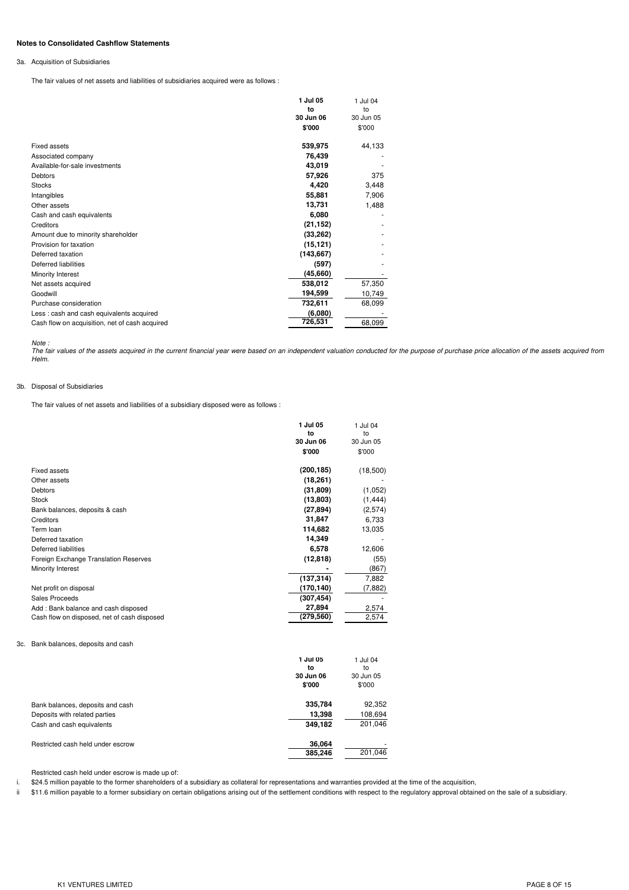#### **Notes to Consolidated Cashflow Statements**

#### 3a. Acquisition of Subsidiaries

The fair values of net assets and liabilities of subsidiaries acquired were as follows :

|                                                | 1 Jul 05   | 1 Jul 04  |
|------------------------------------------------|------------|-----------|
|                                                | to         | to        |
|                                                | 30 Jun 06  | 30 Jun 05 |
|                                                | \$'000     | \$'000    |
| Fixed assets                                   | 539,975    | 44,133    |
| Associated company                             | 76,439     |           |
| Available-for-sale investments                 | 43,019     |           |
| Debtors                                        | 57,926     | 375       |
| <b>Stocks</b>                                  | 4,420      | 3,448     |
| Intangibles                                    | 55,881     | 7,906     |
| Other assets                                   | 13,731     | 1,488     |
| Cash and cash equivalents                      | 6,080      |           |
| Creditors                                      | (21, 152)  |           |
| Amount due to minority shareholder             | (33, 262)  |           |
| Provision for taxation                         | (15, 121)  |           |
| Deferred taxation                              | (143, 667) |           |
| <b>Deferred liabilities</b>                    | (597)      |           |
| Minority Interest                              | (45, 660)  |           |
| Net assets acquired                            | 538,012    | 57,350    |
| Goodwill                                       | 194,599    | 10,749    |
| Purchase consideration                         | 732,611    | 68,099    |
| Less : cash and cash equivalents acquired      | (6,080)    |           |
| Cash flow on acquisition, net of cash acquired | 726,531    | 68,099    |

Note :<br>The fair values of the assets acquired in the current financial year were based on an independent valuation conducted for the purpose of purchase price allocation of the assets acquired from *Helm.*

### 3b. Disposal of Subsidiaries

The fair values of net assets and liabilities of a subsidiary disposed were as follows :

|                                             | 1 Jul 05   | 1 Jul 04  |
|---------------------------------------------|------------|-----------|
|                                             | to         | to        |
|                                             | 30 Jun 06  | 30 Jun 05 |
|                                             | \$'000     | \$'000    |
| <b>Fixed assets</b>                         | (200, 185) | (18,500)  |
| Other assets                                | (18, 261)  |           |
| Debtors                                     | (31, 809)  | (1,052)   |
| <b>Stock</b>                                | (13,803)   | (1, 444)  |
| Bank balances, deposits & cash              | (27, 894)  | (2,574)   |
| Creditors                                   | 31,847     | 6,733     |
| Term loan                                   | 114,682    | 13,035    |
| Deferred taxation                           | 14,349     |           |
| Deferred liabilities                        | 6,578      | 12,606    |
| Foreign Exchange Translation Reserves       | (12, 818)  | (55)      |
| Minority Interest                           |            | (867)     |
|                                             | (137, 314) | 7,882     |
| Net profit on disposal                      | (170,140)  | (7, 882)  |
| Sales Proceeds                              | (307, 454) |           |
| Add: Bank balance and cash disposed         | 27,894     | 2,574     |
| Cash flow on disposed, net of cash disposed | (279, 560) | 2,574     |
|                                             |            |           |

#### 3c. Bank balances, deposits and cash

i.

|                                   | 1 Jul 05  | 1 Jul 04  |  |
|-----------------------------------|-----------|-----------|--|
|                                   | to        |           |  |
|                                   | 30 Jun 06 | 30 Jun 05 |  |
|                                   | \$'000    | \$'000    |  |
| Bank balances, deposits and cash  | 335,784   | 92,352    |  |
| Deposits with related parties     | 13.398    | 108,694   |  |
| Cash and cash equivalents         | 349.182   | 201,046   |  |
| Restricted cash held under escrow | 36.064    | ۰         |  |
|                                   | 385,246   | 201.046   |  |

Restricted cash held under escrow is made up of:

\$24.5 million payable to the former shareholders of a subsidiary as collateral for representations and warranties provided at the time of the acquisition,

ii \$11.6 million payable to a former subsidiary on certain obligations arising out of the settlement conditions with respect to the regulatory approval obtained on the sale of a subsidiary.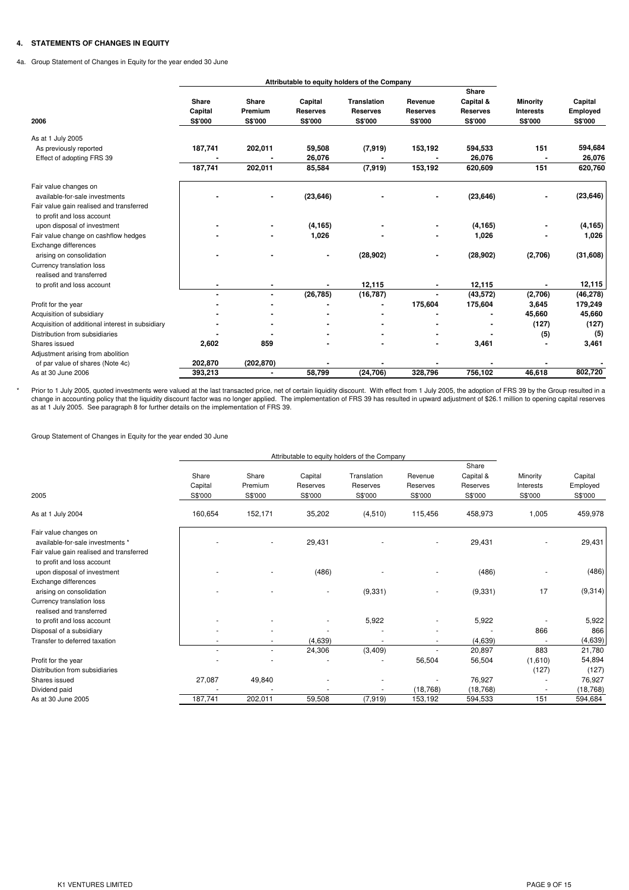# **4. STATEMENTS OF CHANGES IN EQUITY**

4a. Group Statement of Changes in Equity for the year ended 30 June

|                                                  | Attributable to equity holders of the Company |                             |                                       |                                                  |                                       |                                                  |                                                       |                                |
|--------------------------------------------------|-----------------------------------------------|-----------------------------|---------------------------------------|--------------------------------------------------|---------------------------------------|--------------------------------------------------|-------------------------------------------------------|--------------------------------|
| 2006                                             | Share<br>Capital<br><b>S\$'000</b>            | Share<br>Premium<br>S\$'000 | Capital<br><b>Reserves</b><br>S\$'000 | <b>Translation</b><br><b>Reserves</b><br>S\$'000 | Revenue<br><b>Reserves</b><br>S\$'000 | Share<br>Capital &<br><b>Reserves</b><br>S\$'000 | <b>Minority</b><br><b>Interests</b><br><b>S\$'000</b> | Capital<br>Employed<br>S\$'000 |
| As at 1 July 2005                                |                                               |                             |                                       |                                                  |                                       |                                                  |                                                       |                                |
| As previously reported                           | 187,741                                       | 202,011                     | 59,508                                | (7, 919)                                         | 153,192                               | 594,533                                          | 151                                                   | 594,684                        |
| Effect of adopting FRS 39                        |                                               |                             | 26,076                                |                                                  |                                       | 26,076                                           |                                                       | 26,076                         |
|                                                  | 187,741                                       | 202,011                     | 85,584                                | (7,919)                                          | 153,192                               | 620,609                                          | 151                                                   | 620,760                        |
| Fair value changes on                            |                                               |                             |                                       |                                                  |                                       |                                                  |                                                       |                                |
| available-for-sale investments                   |                                               |                             | (23, 646)                             |                                                  |                                       | (23, 646)                                        |                                                       | (23, 646)                      |
| Fair value gain realised and transferred         |                                               |                             |                                       |                                                  |                                       |                                                  |                                                       |                                |
| to profit and loss account                       |                                               |                             |                                       |                                                  |                                       |                                                  |                                                       |                                |
| upon disposal of investment                      |                                               | $\blacksquare$              | (4, 165)                              |                                                  |                                       | (4, 165)                                         |                                                       | (4, 165)                       |
| Fair value change on cashflow hedges             |                                               |                             | 1,026                                 |                                                  |                                       | 1,026                                            |                                                       | 1,026                          |
| Exchange differences                             |                                               |                             |                                       |                                                  |                                       |                                                  |                                                       |                                |
| arising on consolidation                         |                                               |                             |                                       | (28, 902)                                        |                                       | (28, 902)                                        | (2,706)                                               | (31,608)                       |
| Currency translation loss                        |                                               |                             |                                       |                                                  |                                       |                                                  |                                                       |                                |
| realised and transferred                         |                                               |                             |                                       |                                                  |                                       |                                                  |                                                       |                                |
| to profit and loss account                       |                                               | $\blacksquare$              |                                       | 12,115                                           |                                       | 12,115                                           |                                                       | 12,115                         |
|                                                  | $\overline{\phantom{a}}$                      | $\blacksquare$              | (26, 785)                             | (16, 787)                                        | $\blacksquare$                        | (43, 572)                                        | (2,706)                                               | (46, 278)                      |
| Profit for the year                              |                                               |                             |                                       |                                                  | 175,604                               | 175,604                                          | 3,645                                                 | 179,249                        |
| Acquisition of subsidiary                        |                                               |                             |                                       |                                                  |                                       |                                                  | 45,660                                                | 45,660                         |
| Acquisition of additional interest in subsidiary |                                               |                             |                                       |                                                  |                                       |                                                  | (127)                                                 | (127)                          |
| Distribution from subsidiaries                   |                                               |                             |                                       |                                                  |                                       |                                                  | (5)                                                   | (5)                            |
| Shares issued                                    | 2,602                                         | 859                         |                                       |                                                  |                                       | 3,461                                            |                                                       | 3,461                          |
| Adjustment arising from abolition                |                                               |                             |                                       |                                                  |                                       |                                                  |                                                       |                                |
| of par value of shares (Note 4c)                 | 202,870                                       | (202, 870)                  |                                       |                                                  |                                       |                                                  |                                                       |                                |
| As at 30 June 2006                               | 393,213                                       | $\blacksquare$              | 58,799                                | (24, 706)                                        | 328,796                               | 756,102                                          | 46,618                                                | 802,720                        |

Prior to 1 July 2005, quoted investments were valued at the last transacted price, net of certain liquidity discount. With effect from 1 July 2005, the adoption of FRS 39 by the Group resulted in a<br>change in accounting pol

Group Statement of Changes in Equity for the year ended 30 June

\*

|                                                                                                       | Attributable to equity holders of the Company |                             |                                |                                    |                                |                                           |                                  |                                |
|-------------------------------------------------------------------------------------------------------|-----------------------------------------------|-----------------------------|--------------------------------|------------------------------------|--------------------------------|-------------------------------------------|----------------------------------|--------------------------------|
| 2005                                                                                                  | Share<br>Capital<br>S\$'000                   | Share<br>Premium<br>S\$'000 | Capital<br>Reserves<br>S\$'000 | Translation<br>Reserves<br>S\$'000 | Revenue<br>Reserves<br>S\$'000 | Share<br>Capital &<br>Reserves<br>S\$'000 | Minority<br>Interests<br>S\$'000 | Capital<br>Employed<br>S\$'000 |
| As at 1 July 2004                                                                                     | 160,654                                       | 152,171                     | 35,202                         | (4,510)                            | 115,456                        | 458,973                                   | 1,005                            | 459,978                        |
| Fair value changes on<br>available-for-sale investments *                                             |                                               |                             | 29,431                         |                                    |                                | 29,431                                    |                                  | 29,431                         |
| Fair value gain realised and transferred<br>to profit and loss account<br>upon disposal of investment |                                               |                             | (486)                          |                                    |                                | (486)                                     |                                  | (486)                          |
| Exchange differences<br>arising on consolidation                                                      |                                               |                             | ٠                              | (9, 331)                           | ٠                              | (9, 331)                                  | 17                               | (9,314)                        |
| Currency translation loss<br>realised and transferred                                                 |                                               |                             |                                |                                    |                                |                                           |                                  |                                |
| to profit and loss account                                                                            |                                               |                             |                                | 5,922                              |                                | 5,922                                     |                                  | 5,922                          |
| Disposal of a subsidiary                                                                              |                                               |                             |                                |                                    |                                |                                           | 866                              | 866                            |
| Transfer to deferred taxation                                                                         |                                               |                             | (4,639)                        |                                    |                                | (4,639)                                   |                                  | (4,639)                        |
|                                                                                                       |                                               | $\sim$                      | 24,306                         | (3,409)                            |                                | 20,897                                    | 883                              | 21,780                         |
| Profit for the year                                                                                   |                                               |                             |                                |                                    | 56,504                         | 56,504                                    | (1,610)                          | 54,894                         |
| Distribution from subsidiaries                                                                        |                                               |                             |                                |                                    |                                |                                           | (127)                            | (127)                          |
| Shares issued                                                                                         | 27,087                                        | 49,840                      |                                |                                    |                                | 76,927                                    |                                  | 76,927                         |
| Dividend paid                                                                                         |                                               |                             |                                |                                    | (18, 768)                      | (18, 768)                                 |                                  | (18, 768)                      |
| As at 30 June 2005                                                                                    | 187,741                                       | 202,011                     | 59,508                         | (7,919)                            | 153,192                        | 594,533                                   | 151                              | 594,684                        |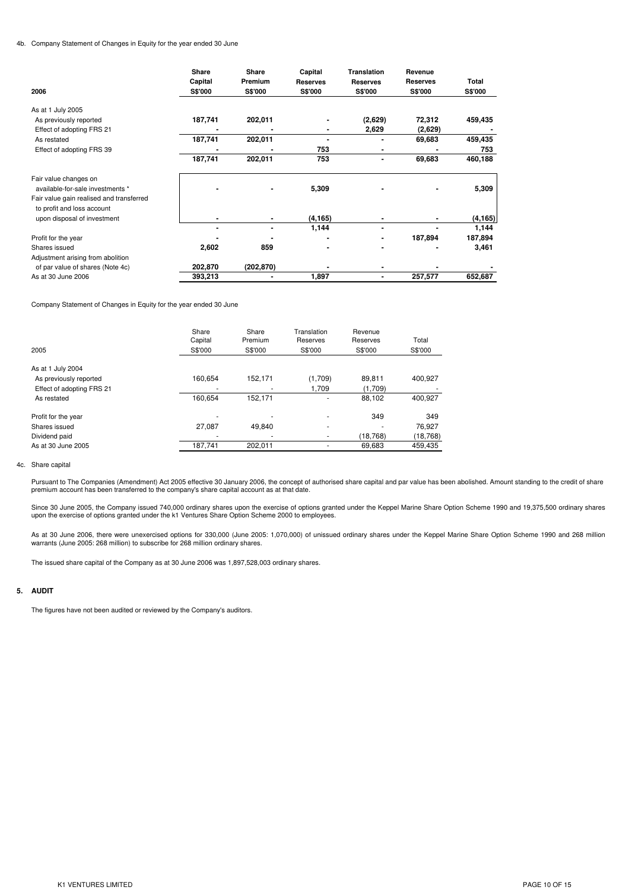#### 4b. Company Statement of Changes in Equity for the year ended 30 June

| As at 1 July 2005<br>187,741<br>202,011<br>(2,629)<br>72,312<br>459,435<br>As previously reported<br>2,629<br>Effect of adopting FRS 21<br>(2,629)<br>187,741<br>202,011<br>459,435<br>69,683<br>As restated<br>$\qquad \qquad \blacksquare$<br>753<br>753<br>Effect of adopting FRS 39<br>$\qquad \qquad \blacksquare$<br>187,741<br>202,011<br>69,683<br>460,188<br>753<br>$\blacksquare$<br>Fair value changes on<br>5,309<br>5,309<br>available-for-sale investments *<br>Fair value gain realised and transferred<br>to profit and loss account<br>(4, 165)<br>(4, 165)<br>upon disposal of investment<br>1,144<br>1,144<br>-<br>187,894<br>187,894<br>Profit for the year<br>2,602<br>859<br>3,461<br>Shares issued<br>Adjustment arising from abolition<br>202,870<br>(202,870)<br>of par value of shares (Note 4c)<br>393,213<br>1,897<br>652,687<br>As at 30 June 2006<br>257,577<br>$\blacksquare$ | 2006 | Share<br>Capital<br><b>S\$'000</b> | Share<br><b>Premium</b><br>S\$'000 | Capital<br><b>Reserves</b><br><b>S\$'000</b> | <b>Translation</b><br><b>Reserves</b><br><b>S\$'000</b> | Revenue<br><b>Reserves</b><br>S\$'000 | Total<br>S\$'000 |
|--------------------------------------------------------------------------------------------------------------------------------------------------------------------------------------------------------------------------------------------------------------------------------------------------------------------------------------------------------------------------------------------------------------------------------------------------------------------------------------------------------------------------------------------------------------------------------------------------------------------------------------------------------------------------------------------------------------------------------------------------------------------------------------------------------------------------------------------------------------------------------------------------------------|------|------------------------------------|------------------------------------|----------------------------------------------|---------------------------------------------------------|---------------------------------------|------------------|
|                                                                                                                                                                                                                                                                                                                                                                                                                                                                                                                                                                                                                                                                                                                                                                                                                                                                                                              |      |                                    |                                    |                                              |                                                         |                                       |                  |
|                                                                                                                                                                                                                                                                                                                                                                                                                                                                                                                                                                                                                                                                                                                                                                                                                                                                                                              |      |                                    |                                    |                                              |                                                         |                                       |                  |
|                                                                                                                                                                                                                                                                                                                                                                                                                                                                                                                                                                                                                                                                                                                                                                                                                                                                                                              |      |                                    |                                    |                                              |                                                         |                                       |                  |
|                                                                                                                                                                                                                                                                                                                                                                                                                                                                                                                                                                                                                                                                                                                                                                                                                                                                                                              |      |                                    |                                    |                                              |                                                         |                                       |                  |
|                                                                                                                                                                                                                                                                                                                                                                                                                                                                                                                                                                                                                                                                                                                                                                                                                                                                                                              |      |                                    |                                    |                                              |                                                         |                                       |                  |
|                                                                                                                                                                                                                                                                                                                                                                                                                                                                                                                                                                                                                                                                                                                                                                                                                                                                                                              |      |                                    |                                    |                                              |                                                         |                                       |                  |
|                                                                                                                                                                                                                                                                                                                                                                                                                                                                                                                                                                                                                                                                                                                                                                                                                                                                                                              |      |                                    |                                    |                                              |                                                         |                                       |                  |
|                                                                                                                                                                                                                                                                                                                                                                                                                                                                                                                                                                                                                                                                                                                                                                                                                                                                                                              |      |                                    |                                    |                                              |                                                         |                                       |                  |
|                                                                                                                                                                                                                                                                                                                                                                                                                                                                                                                                                                                                                                                                                                                                                                                                                                                                                                              |      |                                    |                                    |                                              |                                                         |                                       |                  |
|                                                                                                                                                                                                                                                                                                                                                                                                                                                                                                                                                                                                                                                                                                                                                                                                                                                                                                              |      |                                    |                                    |                                              |                                                         |                                       |                  |
|                                                                                                                                                                                                                                                                                                                                                                                                                                                                                                                                                                                                                                                                                                                                                                                                                                                                                                              |      |                                    |                                    |                                              |                                                         |                                       |                  |
|                                                                                                                                                                                                                                                                                                                                                                                                                                                                                                                                                                                                                                                                                                                                                                                                                                                                                                              |      |                                    |                                    |                                              |                                                         |                                       |                  |
|                                                                                                                                                                                                                                                                                                                                                                                                                                                                                                                                                                                                                                                                                                                                                                                                                                                                                                              |      |                                    |                                    |                                              |                                                         |                                       |                  |
|                                                                                                                                                                                                                                                                                                                                                                                                                                                                                                                                                                                                                                                                                                                                                                                                                                                                                                              |      |                                    |                                    |                                              |                                                         |                                       |                  |

Company Statement of Changes in Equity for the year ended 30 June

|                           | Share<br>Capital | Share<br>Premium | Translation<br>Reserves  | Revenue<br>Reserves | Total     |
|---------------------------|------------------|------------------|--------------------------|---------------------|-----------|
| 2005                      | S\$'000          | S\$'000          | S\$'000                  | S\$'000             | S\$'000   |
| As at 1 July 2004         |                  |                  |                          |                     |           |
| As previously reported    | 160,654          | 152,171          | (1,709)                  | 89,811              | 400,927   |
| Effect of adopting FRS 21 |                  |                  | 1,709                    | (1,709)             |           |
| As restated               | 160,654          | 152,171          | ٠                        | 88,102              | 400,927   |
| Profit for the year       |                  |                  |                          | 349                 | 349       |
| Shares issued             | 27,087           | 49,840           | $\overline{\phantom{a}}$ | ۰                   | 76,927    |
| Dividend paid             |                  | ۰                |                          | (18, 768)           | (18, 768) |
| As at 30 June 2005        | 187,741          | 202.011          |                          | 69,683              | 459.435   |

#### 4c. Share capital

Pursuant to The Companies (Amendment) Act 2005 effective 30 January 2006, the concept of authorised share capital and par value has been abolished. Amount standing to the credit of share<br>premium account has been transferre

Since 30 June 2005, the Company issued 740,000 ordinary shares upon the exercise of options granted under the Keppel Marine Share Option Scheme 1990 and 19,375,500 ordinary shares upon the exercise of options granted under the k1 Ventures Share Option Scheme 2000 to employees.

As at 30 June 2006, there were unexercised options for 330,000 (June 2005: 1,070,000) of unissued ordinary shares under the Keppel Marine Share Option Scheme 1990 and 268 million warrants (June 2005: 268 million) to subscribe for 268 million ordinary shares.

The issued share capital of the Company as at 30 June 2006 was 1,897,528,003 ordinary shares.

#### **5. AUDIT**

The figures have not been audited or reviewed by the Company's auditors.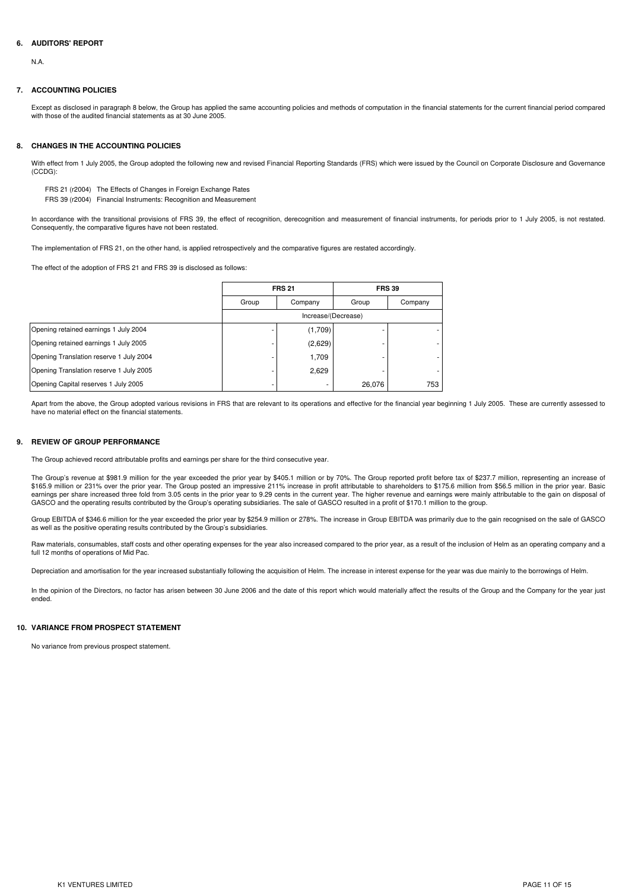## **6. AUDITORS' REPORT**

N.A.

#### **7. ACCOUNTING POLICIES**

Except as disclosed in paragraph 8 below, the Group has applied the same accounting policies and methods of computation in the financial statements for the current financial period compared with those of the audited financial statements as at 30 June 2005.

#### **8. CHANGES IN THE ACCOUNTING POLICIES**

With effect from 1 July 2005, the Group adopted the following new and revised Financial Reporting Standards (FRS) which were issued by the Council on Corporate Disclosure and Governance (CCDG):

FRS 21 (r2004) The Effects of Changes in Foreign Exchange Rates

FRS 39 (r2004) Financial Instruments: Recognition and Measurement

In accordance with the transitional provisions of FRS 39, the effect of recognition, derecognition and measurement of financial instruments, for periods prior to 1 July 2005, is not restated. Consequently, the comparative figures have not been restated.

The implementation of FRS 21, on the other hand, is applied retrospectively and the comparative figures are restated accordingly.

The effect of the adoption of FRS 21 and FRS 39 is disclosed as follows:

|                                         |       | <b>FRS 21</b>       |        | <b>FRS 39</b> |  |  |  |
|-----------------------------------------|-------|---------------------|--------|---------------|--|--|--|
|                                         | Group | Company             | Group  | Company       |  |  |  |
|                                         |       | Increase/(Decrease) |        |               |  |  |  |
| Opening retained earnings 1 July 2004   |       | (1,709)             |        |               |  |  |  |
| Opening retained earnings 1 July 2005   |       | (2,629)             |        |               |  |  |  |
| Opening Translation reserve 1 July 2004 |       | 1,709               |        |               |  |  |  |
| Opening Translation reserve 1 July 2005 |       | 2,629               |        |               |  |  |  |
| Opening Capital reserves 1 July 2005    |       |                     | 26,076 | 753           |  |  |  |

Apart from the above, the Group adopted various revisions in FRS that are relevant to its operations and effective for the financial year beginning 1 July 2005. These are currently assessed to have no material effect on the financial statements.

#### **9. REVIEW OF GROUP PERFORMANCE**

The Group achieved record attributable profits and earnings per share for the third consecutive year.

The Group's revenue at \$981.9 million for the year exceeded the prior year by \$405.1 million or by 70%. The Group reported profit before tax of \$237.7 million, representing an increase of \$165.9 million or 231% over the prior year. The Group posted an impressive 211% increase in profit attributable to shareholders to \$175.6 million from \$56.5 million in the prior year. Basic earnings per share increased three fold from 3.05 cents in the prior year to 9.29 cents in the current year. The higher revenue and earnings were mainly attributable to the gain on disposal of<br>GASCO and the operating resul

Group EBITDA of \$346.6 million for the year exceeded the prior year by \$254.9 million or 278%. The increase in Group EBITDA was primarily due to the gain recognised on the sale of GASCO as well as the positive operating results contributed by the Group's subsidiaries.

Raw materials, consumables, staff costs and other operating expenses for the year also increased compared to the prior year, as a result of the inclusion of Helm as an operating company and a full 12 months of operations of Mid Pac.

Depreciation and amortisation for the year increased substantially following the acquisition of Helm. The increase in interest expense for the year was due mainly to the borrowings of Helm.

In the opinion of the Directors, no factor has arisen between 30 June 2006 and the date of this report which would materially affect the results of the Group and the Company for the year just ended.

#### **10. VARIANCE FROM PROSPECT STATEMENT**

No variance from previous prospect statement.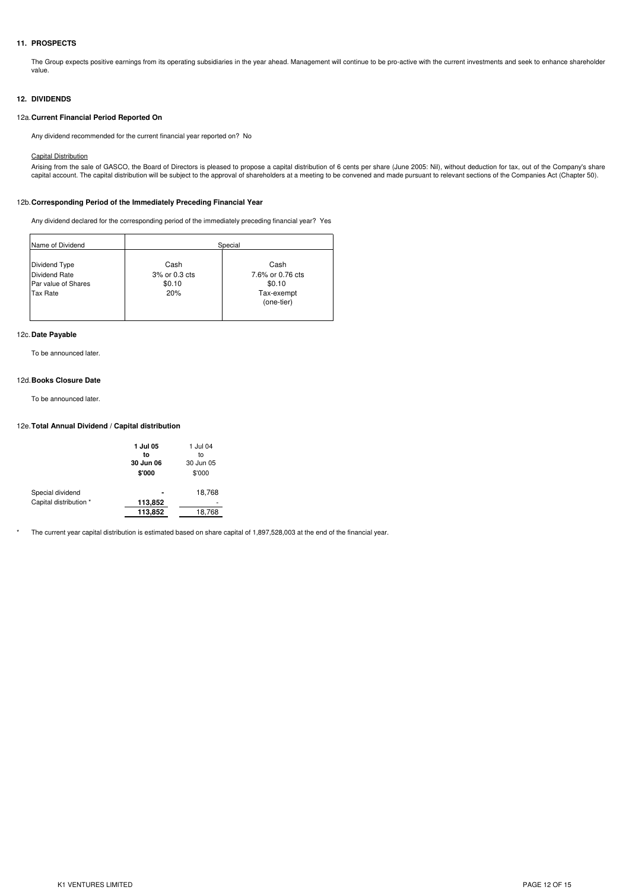# **11. PROSPECTS**

The Group expects positive earnings from its operating subsidiaries in the year ahead. Management will continue to be pro-active with the current investments and seek to enhance shareholder value.

## **12. DIVIDENDS**

#### 12a.**Current Financial Period Reported On**

Any dividend recommended for the current financial year reported on? No

#### Capital Distribution

Arising from the sale of GASCO, the Board of Directors is pleased to propose a capital distribution of 6 cents per share (June 2005: Nil), without deduction for tax, out of the Company's share<br>capital account. The capital

#### 12b.**Corresponding Period of the Immediately Preceding Financial Year**

Any dividend declared for the corresponding period of the immediately preceding financial year? Yes

| Name of Dividend                                                                |                                        | Special                                                        |
|---------------------------------------------------------------------------------|----------------------------------------|----------------------------------------------------------------|
| Dividend Type<br><b>Dividend Rate</b><br>Par value of Shares<br><b>Tax Rate</b> | Cash<br>3% or 0.3 cts<br>\$0.10<br>20% | Cash<br>7.6% or 0.76 cts<br>\$0.10<br>Tax-exempt<br>(one-tier) |

#### 12c.**Date Payable**

To be announced later.

#### 12d.**Books Closure Date**

To be announced later.

#### 12e.**Total Annual Dividend / Capital distribution**

|                        | 1 Jul 05<br>to<br>30 Jun 06<br>\$'000 | 1 Jul 04<br>to<br>30 Jun 05<br>\$'000 |
|------------------------|---------------------------------------|---------------------------------------|
| Special dividend       |                                       | 18,768                                |
| Capital distribution * | 113,852                               |                                       |
|                        | 113,852                               | 18.768                                |
|                        |                                       |                                       |

\* The current year capital distribution is estimated based on share capital of 1,897,528,003 at the end of the financial year.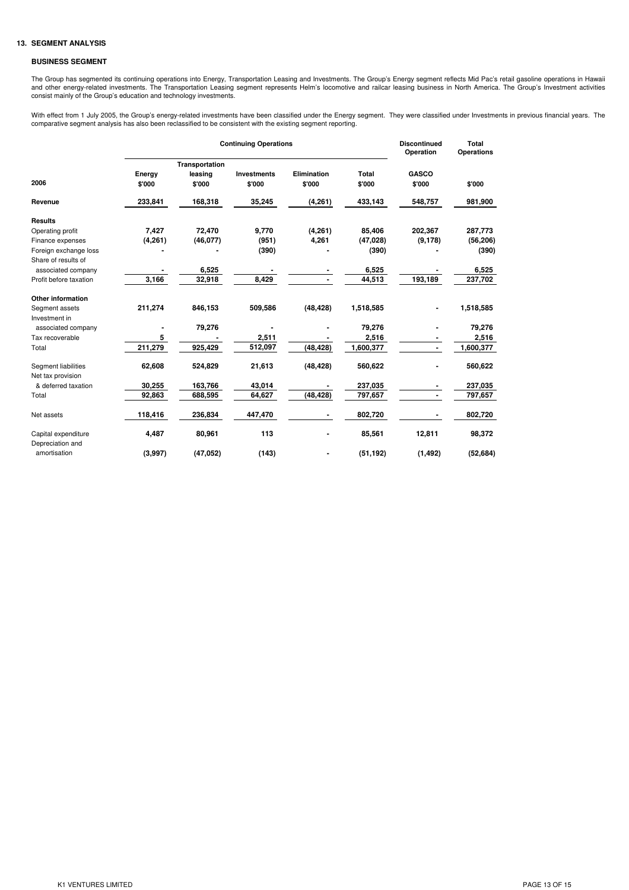## **13. SEGMENT ANALYSIS**

#### **BUSINESS SEGMENT**

The Group has segmented its continuing operations into Energy, Transportation Leasing and Investments. The Group's Energy segment reflects Mid Pac's retail gasoline operations in Hawaii and other energy-related investments. The Transportation Leasing segment represents Helm's locomotive and railcar leasing business in North America. The Group's Investment activities<br>consist mainly of the Group's education

With effect from 1 July 2005, the Group's energy-related investments have been classified under the Energy segment. They were classified under Investments in previous financial years. The<br>comparative segment analysis has a

|                        |                  | <b>Discontinued</b><br>Operation | <b>Total</b><br><b>Operations</b> |                              |                        |                          |           |
|------------------------|------------------|----------------------------------|-----------------------------------|------------------------------|------------------------|--------------------------|-----------|
|                        |                  | Transportation                   |                                   |                              |                        |                          |           |
| 2006                   | Energy<br>\$'000 | leasing<br>\$'000                | <b>Investments</b><br>\$'000      | <b>Elimination</b><br>\$'000 | <b>Total</b><br>\$'000 | <b>GASCO</b><br>\$'000   | \$'000    |
| Revenue                | 233,841          | 168,318                          | 35,245                            | (4,261)                      | 433,143                | 548,757                  | 981,900   |
| <b>Results</b>         |                  |                                  |                                   |                              |                        |                          |           |
| Operating profit       | 7,427            | 72,470                           | 9,770                             | (4, 261)                     | 85,406                 | 202,367                  | 287,773   |
| Finance expenses       | (4,261)          | (46,077)                         | (951)                             | 4,261                        | (47, 028)              | (9, 178)                 | (56, 206) |
| Foreign exchange loss  |                  |                                  | (390)                             |                              | (390)                  |                          | (390)     |
| Share of results of    |                  |                                  |                                   |                              |                        |                          |           |
| associated company     |                  | 6,525                            |                                   |                              | 6,525                  |                          | 6,525     |
| Profit before taxation | 3,166            | 32,918                           | 8,429                             |                              | 44,513                 | 193,189                  | 237,702   |
| Other information      |                  |                                  |                                   |                              |                        |                          |           |
| Segment assets         | 211,274          | 846,153                          | 509,586                           | (48, 428)                    | 1,518,585              |                          | 1,518,585 |
| Investment in          |                  |                                  |                                   |                              |                        |                          |           |
| associated company     |                  | 79,276                           |                                   |                              | 79,276                 |                          | 79,276    |
| Tax recoverable        | 5                |                                  | 2,511                             |                              | 2,516                  |                          | 2,516     |
| Total                  | 211,279          | 925,429                          | 512,097                           | (48, 428)                    | 1,600,377              | $\overline{\phantom{0}}$ | 1,600,377 |
| Segment liabilities    | 62,608           | 524,829                          | 21,613                            | (48, 428)                    | 560,622                |                          | 560,622   |
| Net tax provision      |                  |                                  |                                   |                              |                        |                          |           |
| & deferred taxation    | 30,255           | 163,766                          | 43,014                            |                              | 237,035                |                          | 237,035   |
| Total                  | 92,863           | 688,595                          | 64,627                            | (48, 428)                    | 797,657                | $\blacksquare$           | 797,657   |
| Net assets             | 118,416          | 236,834                          | 447,470                           |                              | 802,720                |                          | 802,720   |
| Capital expenditure    | 4,487            | 80,961                           | 113                               |                              | 85,561                 | 12,811                   | 98,372    |
| Depreciation and       |                  |                                  |                                   |                              |                        |                          |           |
| amortisation           | (3,997)          | (47, 052)                        | (143)                             |                              | (51, 192)              | (1, 492)                 | (52, 684) |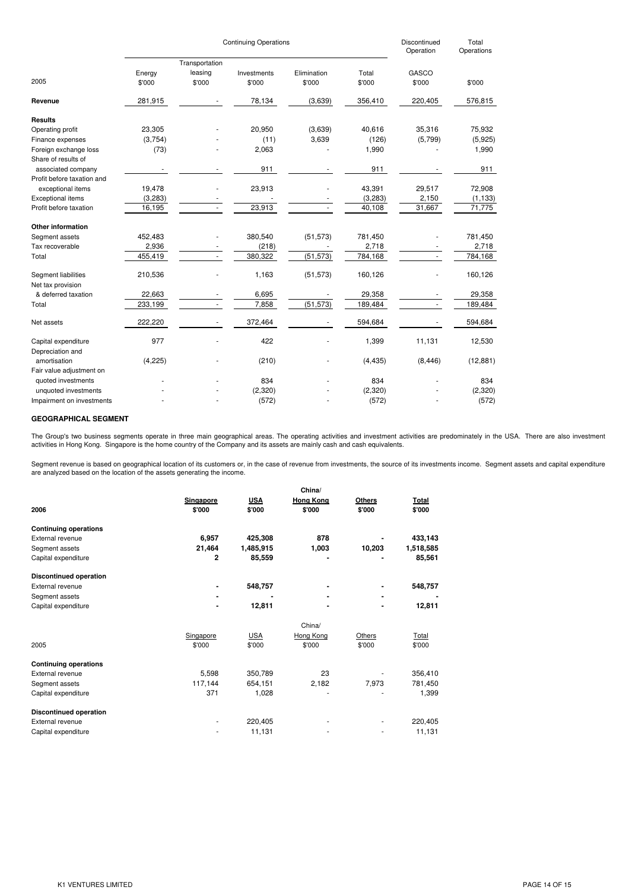|                            |                | Discontinued<br>Operation | Total<br>Operations |             |          |                |           |
|----------------------------|----------------|---------------------------|---------------------|-------------|----------|----------------|-----------|
|                            | Transportation |                           |                     |             |          |                |           |
|                            | Energy         | leasing                   | Investments         | Elimination | Total    | GASCO          |           |
| 2005                       | \$'000         | \$'000                    | \$'000              | \$'000      | \$'000   | \$'000         | \$'000    |
| Revenue                    | 281,915        |                           | 78,134              | (3,639)     | 356,410  | 220,405        | 576,815   |
| <b>Results</b>             |                |                           |                     |             |          |                |           |
| Operating profit           | 23,305         |                           | 20,950              | (3,639)     | 40,616   | 35,316         | 75,932    |
| Finance expenses           | (3,754)        |                           | (11)                | 3,639       | (126)    | (5,799)        | (5,925)   |
| Foreign exchange loss      | (73)           |                           | 2,063               |             | 1,990    |                | 1,990     |
| Share of results of        |                |                           |                     |             |          |                |           |
| associated company         |                |                           | 911                 |             | 911      |                | 911       |
| Profit before taxation and |                |                           |                     |             |          |                |           |
| exceptional items          | 19,478         |                           | 23,913              |             | 43,391   | 29,517         | 72,908    |
| <b>Exceptional items</b>   | (3,283)        |                           |                     |             | (3,283)  | 2,150          | (1, 133)  |
| Profit before taxation     | 16,195         |                           | 23,913              |             | 40,108   | 31,667         | 71,775    |
| <b>Other information</b>   |                |                           |                     |             |          |                |           |
| Segment assets             | 452,483        |                           | 380,540             | (51, 573)   | 781,450  |                | 781,450   |
| Tax recoverable            | 2,936          |                           | (218)               |             | 2,718    |                | 2,718     |
| Total                      | 455,419        | $\overline{\phantom{a}}$  | 380,322             | (51, 573)   | 784,168  | $\sim$         | 784,168   |
| Segment liabilities        | 210,536        |                           | 1,163               | (51, 573)   | 160,126  |                | 160,126   |
| Net tax provision          |                |                           |                     |             |          |                |           |
| & deferred taxation        | 22,663         |                           | 6,695               |             | 29,358   |                | 29,358    |
| Total                      | 233,199        | ä,                        | 7,858               | (51, 573)   | 189,484  | $\blacksquare$ | 189,484   |
| Net assets                 | 222,220        |                           | 372,464             |             | 594,684  |                | 594,684   |
| Capital expenditure        | 977            |                           | 422                 |             | 1,399    | 11,131         | 12,530    |
| Depreciation and           |                |                           |                     |             |          |                |           |
| amortisation               | (4,225)        |                           | (210)               |             | (4, 435) | (8, 446)       | (12, 881) |
| Fair value adjustment on   |                |                           |                     |             |          |                |           |
| quoted investments         |                |                           | 834                 |             | 834      |                | 834       |
| unquoted investments       |                |                           | (2,320)             |             | (2,320)  |                | (2,320)   |
| Impairment on investments  |                |                           | (572)               |             | (572)    |                | (572)     |

#### **GEOGRAPHICAL SEGMENT**

The Group's two business segments operate in three main geographical areas. The operating activities and investment activities are predominately in the USA. There are also investment<br>activities in Hong Kong. Singapore is t

Segment revenue is based on geographical location of its customers or, in the case of revenue from investments, the source of its investments income. Segment assets and capital expenditure<br>are analyzed based on the locati

|                               | China/       |            |                  |                |           |  |  |
|-------------------------------|--------------|------------|------------------|----------------|-----------|--|--|
|                               | Singapore    | <b>USA</b> | <b>Hong Kong</b> | <b>Others</b>  | Total     |  |  |
| 2006                          | \$'000       | \$'000     | \$'000           | \$'000         | \$'000    |  |  |
| <b>Continuing operations</b>  |              |            |                  |                |           |  |  |
| External revenue              | 6,957        | 425,308    | 878              |                | 433,143   |  |  |
| Segment assets                | 21,464       | 1,485,915  | 1,003            | 10,203         | 1,518,585 |  |  |
| Capital expenditure           | $\mathbf{2}$ | 85,559     |                  |                | 85,561    |  |  |
| <b>Discontinued operation</b> |              |            |                  |                |           |  |  |
| External revenue              |              | 548,757    |                  |                | 548,757   |  |  |
| Segment assets                |              |            |                  | $\blacksquare$ |           |  |  |
| Capital expenditure           |              | 12,811     |                  | $\blacksquare$ | 12,811    |  |  |
|                               |              |            | China/           |                |           |  |  |
|                               | Singapore    | <b>USA</b> | Hong Kong        | Others         | Total     |  |  |
| 2005                          | \$'000       | \$'000     | \$'000           | \$'000         | \$'000    |  |  |
| <b>Continuing operations</b>  |              |            |                  |                |           |  |  |
| External revenue              | 5,598        | 350,789    | 23               |                | 356,410   |  |  |
| Segment assets                | 117,144      | 654,151    | 2,182            | 7,973          | 781,450   |  |  |
| Capital expenditure           | 371          | 1,028      |                  |                | 1,399     |  |  |
| <b>Discontinued operation</b> |              |            |                  |                |           |  |  |
| External revenue              |              | 220,405    |                  |                | 220,405   |  |  |
| Capital expenditure           |              | 11,131     |                  |                | 11,131    |  |  |